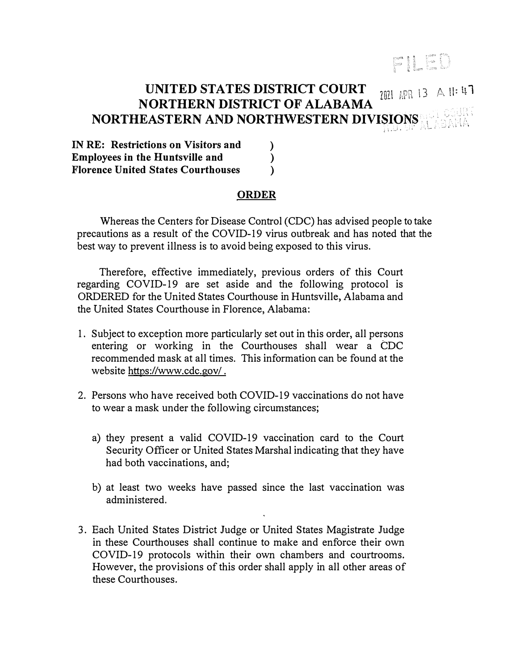## FILED

## UNITED STATES DISTRICT COURT **NORTHERN DISTRICT OF ALABAMA NORTHEASTERN AND NORTHWESTERN DIVISIONS**  � . *\_ \_: .* . 7021 APR 13 A 11: 47

**IN RE: Restrictions on Visitors and** ()<br>Employees in the Huntsville and () **Employees in the Huntsville and** (*)* **Florence United States Courthouses** (*)* **Florence United States Courthouses** )

## **ORDER**

Whereas the Centers for Disease Control (CDC) has advised people to take precautions as a result of the COVID-19 virus outbreak and has noted that the best way to prevent illness is to avoid being exposed to this virus.

Therefore, effective immediately, previous orders of this Court regarding COVID-19 are set aside and the following protocol is ORDERED for the United States Courthouse in Huntsville, Alabama and the United States Courthouse in Florence, Alabama:

- 1. Subject to exception more particularly set out in this order, all persons entering or working in the Courthouses shall wear a CDC recommended mask at all times. This information can be found at the website https://www.cdc.gov/.
- 2. Persons who have received both COVID-19 vaccinations do not have to wear a mask under the following circumstances;
	- a) they present a valid COVID-19 vaccination card to the Court Security Officer or United States Marshal indicating that they have had both vaccinations, and;
	- b) at least two weeks have passed since the last vaccination was administered.
- 3. Each United States District Judge or United States Magistrate Judge in these Courthouses shall continue to make and enforce their own COVID-19 protocols within their own chambers and courtrooms. However, the provisions of this order shall apply in all other areas of these Courthouses.